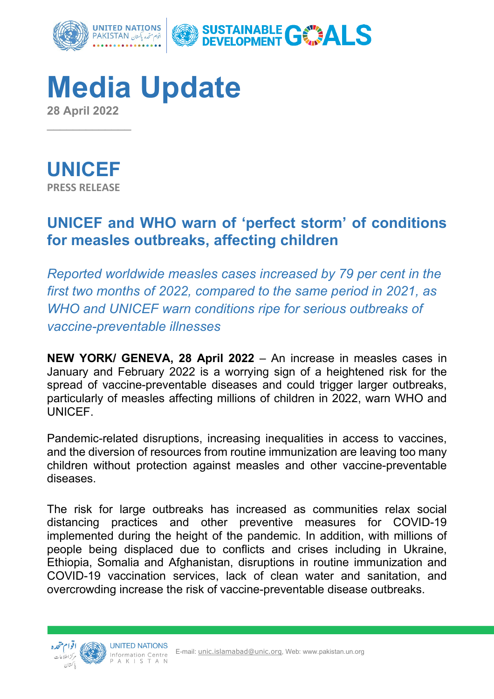

**Media Update 28 April 2022**



 $\overline{\phantom{a}}$ 

# **UNICEF and WHO warn of 'perfect storm' of conditions for measles outbreaks, affecting children**

*Reported worldwide measles cases increased by 79 per cent in the first two months of 2022, compared to the same period in 2021, as WHO and UNICEF warn conditions ripe for serious outbreaks of vaccine-preventable illnesses*

**NEW YORK/ GENEVA, 28 April 2022** – An increase in measles cases in January and February 2022 is a worrying sign of a heightened risk for the spread of vaccine-preventable diseases and could trigger larger outbreaks, particularly of measles affecting millions of children in 2022, warn WHO and UNICEF.

Pandemic-related disruptions, increasing inequalities in access to vaccines, and the diversion of resources from routine immunization are leaving too many children without protection against measles and other vaccine-preventable diseases.

The risk for large outbreaks has increased as communities relax social distancing practices and other preventive measures for COVID-19 implemented during the height of the pandemic. In addition, with millions of people being displaced due to conflicts and crises including in Ukraine, Ethiopia, Somalia and Afghanistan, disruptions in routine immunization and COVID-19 vaccination services, lack of clean water and sanitation, and overcrowding increase the risk of vaccine-preventable disease outbreaks.

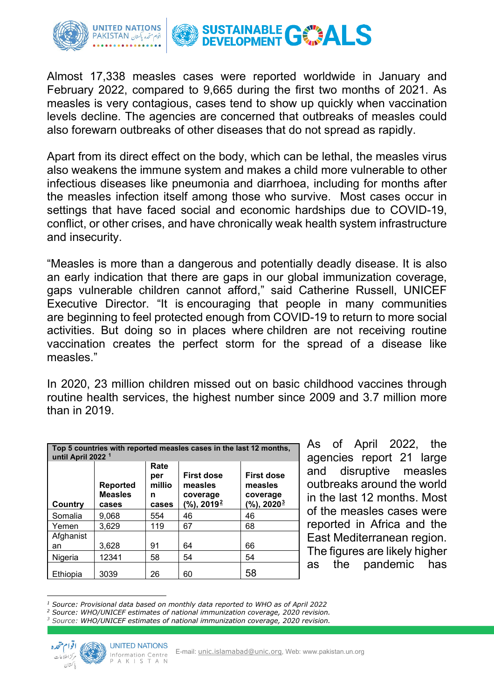

Almost 17,338 measles cases were reported worldwide in January and February 2022, compared to 9,665 during the first two months of 2021. As measles is very contagious, cases tend to show up quickly when vaccination levels decline. The agencies are concerned that outbreaks of measles could also forewarn outbreaks of other diseases that do not spread as rapidly.

Apart from its direct effect on the body, which can be lethal, the measles virus also weakens the immune system and makes a child more vulnerable to other infectious diseases like pneumonia and diarrhoea, including for months after the measles infection itself among those who survive. Most cases occur in settings that have faced social and economic hardships due to COVID-19, conflict, or other crises, and have chronically weak health system infrastructure and insecurity.

"Measles is more than a dangerous and potentially deadly disease. It is also an early indication that there are gaps in our global immunization coverage, gaps vulnerable children cannot afford," said Catherine Russell, UNICEF Executive Director. "It is encouraging that people in many communities are beginning to feel protected enough from COVID-19 to return to more social activities. But doing so in places where children are not receiving routine vaccination creates the perfect storm for the spread of a disease like measles."

In 2020, 23 million children missed out on basic childhood vaccines through routine health services, the highest number since 2009 and 3.7 million more than in 2019.

| Top 5 countries with reported measles cases in the last 12 months,<br>until April 2022 <sup>1</sup> |                                            |                                     |                                                                    |                                                                        |
|-----------------------------------------------------------------------------------------------------|--------------------------------------------|-------------------------------------|--------------------------------------------------------------------|------------------------------------------------------------------------|
| Country                                                                                             | <b>Reported</b><br><b>Measles</b><br>cases | Rate<br>per<br>millio<br>n<br>cases | <b>First dose</b><br>measles<br>coverage<br>(%), 2019 <sup>2</sup> | <b>First dose</b><br>measles<br>coverage<br>$(\%)$ , 2020 <sup>3</sup> |
| Somalia                                                                                             | 9,068                                      | 554                                 | 46                                                                 | 46                                                                     |
| Yemen                                                                                               | 3,629                                      | 119                                 | 67                                                                 | 68                                                                     |
| Afghanist                                                                                           |                                            |                                     |                                                                    |                                                                        |
| an                                                                                                  | 3,628                                      | 91                                  | 64                                                                 | 66                                                                     |
| Nigeria                                                                                             | 12341                                      | 58                                  | 54                                                                 | 54                                                                     |
| Ethiopia                                                                                            | 3039                                       | 26                                  | 60                                                                 | 58                                                                     |

As of April 2022, the agencies report 21 large and disruptive measles outbreaks around the world in the last 12 months. Most of the measles cases were reported in Africa and the East Mediterranean region. The figures are likely higher as the pandemic has

<span id="page-1-2"></span>*<sup>3</sup> Source: WHO/UNICEF estimates of national immunization coverage, 2020 revision.*



<span id="page-1-0"></span>*<sup>1</sup> Source: Provisional data based on monthly data reported to WHO as of April 2022*

<span id="page-1-1"></span>*<sup>2</sup> Source: WHO/UNICEF estimates of national immunization coverage, 2020 revision.*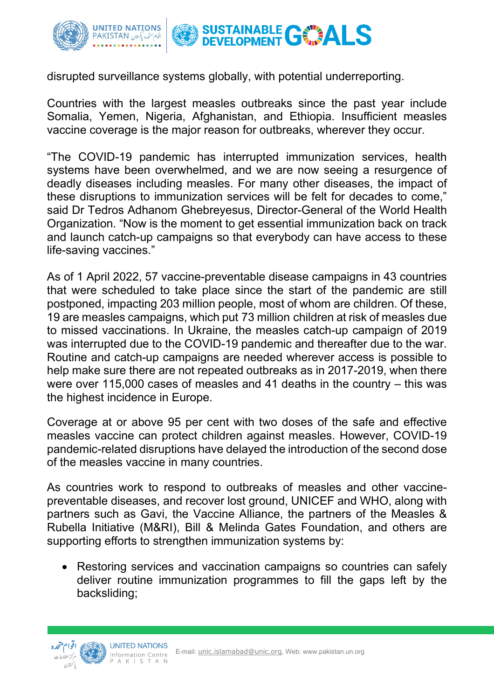

disrupted surveillance systems globally, with potential underreporting.

Countries with the largest measles outbreaks since the past year include Somalia, Yemen, Nigeria, Afghanistan, and Ethiopia. Insufficient measles vaccine coverage is the major reason for outbreaks, wherever they occur.

"The COVID-19 pandemic has interrupted immunization services, health systems have been overwhelmed, and we are now seeing a resurgence of deadly diseases including measles. For many other diseases, the impact of these disruptions to immunization services will be felt for decades to come," said Dr Tedros Adhanom Ghebreyesus, Director-General of the World Health Organization. "Now is the moment to get essential immunization back on track and launch catch-up campaigns so that everybody can have access to these life-saving vaccines."

As of 1 April 2022, 57 vaccine-preventable disease campaigns in 43 countries that were scheduled to take place since the start of the pandemic are still postponed, impacting 203 million people, most of whom are children. Of these, 19 are measles campaigns, which put 73 million children at risk of measles due to missed vaccinations. In Ukraine, the measles catch-up campaign of 2019 was interrupted due to the COVID-19 pandemic and thereafter due to the war. Routine and catch-up campaigns are needed wherever access is possible to help make sure there are not repeated outbreaks as in 2017-2019, when there were over 115,000 cases of measles and 41 deaths in the country – this was the highest incidence in Europe.

Coverage at or above 95 per cent with two doses of the safe and effective measles vaccine can protect children against measles. However, COVID-19 pandemic-related disruptions have delayed the introduction of the second dose of the measles vaccine in many countries.

As countries work to respond to outbreaks of measles and other vaccinepreventable diseases, and recover lost ground, UNICEF and WHO, along with partners such as Gavi, the Vaccine Alliance, the partners of the Measles & Rubella Initiative (M&RI), Bill & Melinda Gates Foundation, and others are supporting efforts to strengthen immunization systems by:

• Restoring services and vaccination campaigns so countries can safely deliver routine immunization programmes to fill the gaps left by the backsliding;

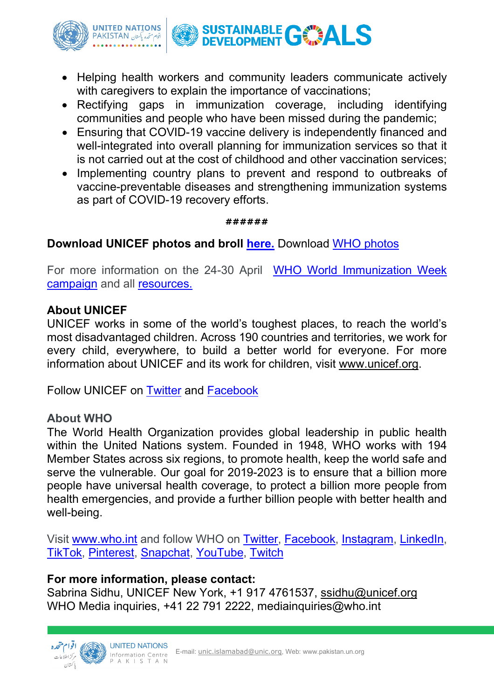

- Helping health workers and community leaders communicate actively with caregivers to explain the importance of vaccinations;
- Rectifying gaps in immunization coverage, including identifying communities and people who have been missed during the pandemic;
- Ensuring that COVID-19 vaccine delivery is independently financed and well-integrated into overall planning for immunization services so that it is not carried out at the cost of childhood and other vaccination services;
- Implementing country plans to prevent and respond to outbreaks of vaccine-preventable diseases and strengthening immunization systems as part of COVID-19 recovery efforts.

#### **######**

### **Download UNICEF photos and broll [here.](https://weshare.unicef.org/Package/2AMZIFFU9LAK)** Download [WHO photos](https://photos.hq.who.int/)

For more information on the 24-30 April [WHO World Immunization Week](https://www.who.int/campaigns/world-immunization-week/2022)  [campaign](https://www.who.int/campaigns/world-immunization-week/2022) and all [resources.](https://who.canto.global/v/WorldImmunizationWeek/landing)

#### **About UNICEF**

UNICEF works in some of the world's toughest places, to reach the world's most disadvantaged children. Across 190 countries and territories, we work for every child, everywhere, to build a better world for everyone. For more information about UNICEF and its work for children, visit [www.unicef.org.](http://www.unicef.org/)

Follow UNICEF on [Twitter](http://twitter.com/UNICEF) and [Facebook](https://www.facebook.com/unicef)

### **About WHO**

The World Health Organization provides global leadership in public health within the United Nations system. Founded in 1948, WHO works with 194 Member States across six regions, to promote health, keep the world safe and serve the vulnerable. Our goal for 2019-2023 is to ensure that a billion more people have universal health coverage, to protect a billion more people from health emergencies, and provide a further billion people with better health and well-being.

Visit [www.who.int](https://www.who.int/home) and follow WHO on [Twitter,](https://twitter.com/WHO) [Facebook,](https://www.facebook.com/WHO/) [Instagram,](https://www.instagram.com/who/) [LinkedIn,](https://www.linkedin.com/company/world-health-organization/) [TikTok,](https://www.tiktok.com/@who) [Pinterest,](https://www.pinterest.ch/worldhealthorganization/) [Snapchat,](https://www.snapchat.com/add/whorg) [YouTube,](https://www.youtube.com/WHO) [Twitch](https://www.twitch.tv/who) 

### **For more information, please contact:**

Sabrina Sidhu, UNICEF New York, +1 917 4761537, [ssidhu@unicef.org](mailto:ssidhu@unicef.org)  WHO Media inquiries, +41 22 791 2222, mediainquiries@who.int

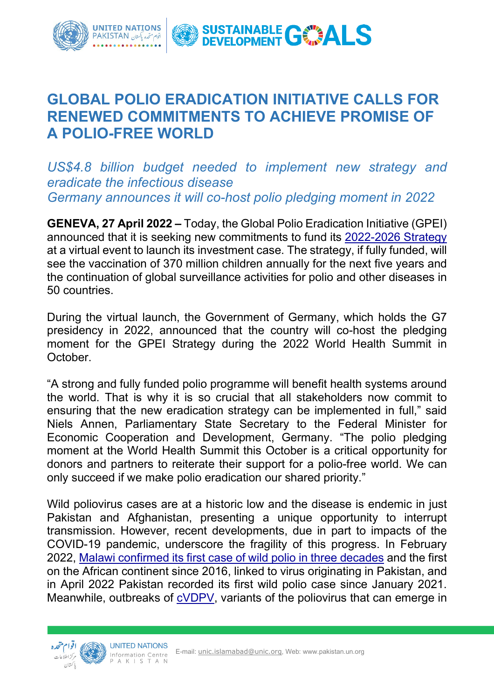

## **GLOBAL POLIO ERADICATION INITIATIVE CALLS FOR RENEWED COMMITMENTS TO ACHIEVE PROMISE OF A POLIO-FREE WORLD**

*US\$4.8 billion budget needed to implement new strategy and eradicate the infectious disease Germany announces it will co-host polio pledging moment in 2022* 

**GENEVA, 27 April 2022 –** Today, the Global Polio Eradication Initiative (GPEI) announced that it is seeking new commitments to fund its [2022-2026 Strategy](https://polioeradication.org/gpei-strategy-2022-2026/) at a virtual event to launch its investment case. The strategy, if fully funded, will see the vaccination of 370 million children annually for the next five years and the continuation of global surveillance activities for polio and other diseases in 50 countries.

During the virtual launch, the Government of Germany, which holds the G7 presidency in 2022, announced that the country will co-host the pledging moment for the GPEI Strategy during the 2022 World Health Summit in October.

"A strong and fully funded polio programme will benefit health systems around the world. That is why it is so crucial that all stakeholders now commit to ensuring that the new eradication strategy can be implemented in full," said Niels Annen, Parliamentary State Secretary to the Federal Minister for Economic Cooperation and Development, Germany. "The polio pledging moment at the World Health Summit this October is a critical opportunity for donors and partners to reiterate their support for a polio-free world. We can only succeed if we make polio eradication our shared priority."

Wild poliovirus cases are at a historic low and the disease is endemic in just Pakistan and Afghanistan, presenting a unique opportunity to interrupt transmission. However, recent developments, due in part to impacts of the COVID-19 pandemic, underscore the fragility of this progress. In February 2022, [Malawi confirmed its first case of wild polio in three decades](https://polioeradication.org/news-post/gpei-statement-on-wpv1-in-malawi/) and the first on the African continent since 2016, linked to virus originating in Pakistan, and in April 2022 Pakistan recorded its first wild polio case since January 2021. Meanwhile, outbreaks of [cVDPV,](https://polioeradication.org/polio-today/polio-now/this-week/circulating-vaccine-derived-poliovirus/) variants of the poliovirus that can emerge in

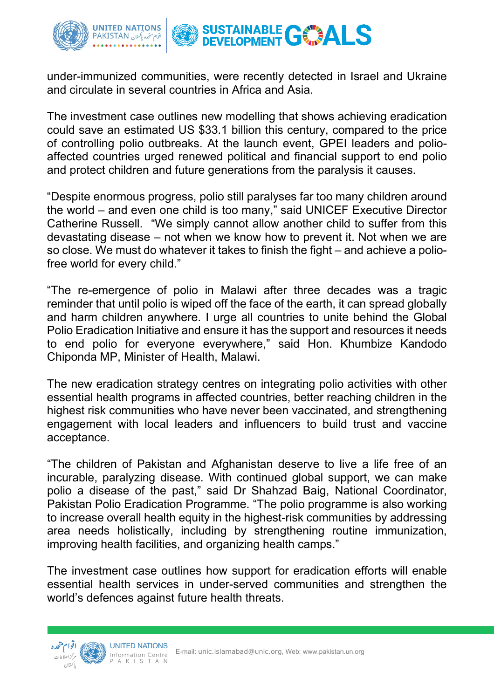

under-immunized communities, were recently detected in Israel and Ukraine and circulate in several countries in Africa and Asia.

The investment case outlines new modelling that shows achieving eradication could save an estimated US \$33.1 billion this century, compared to the price of controlling polio outbreaks. At the launch event, GPEI leaders and polioaffected countries urged renewed political and financial support to end polio and protect children and future generations from the paralysis it causes.

"Despite enormous progress, polio still paralyses far too many children around the world – and even one child is too many," said UNICEF Executive Director Catherine Russell. "We simply cannot allow another child to suffer from this devastating disease – not when we know how to prevent it. Not when we are so close. We must do whatever it takes to finish the fight – and achieve a poliofree world for every child."

"The re-emergence of polio in Malawi after three decades was a tragic reminder that until polio is wiped off the face of the earth, it can spread globally and harm children anywhere. I urge all countries to unite behind the Global Polio Eradication Initiative and ensure it has the support and resources it needs to end polio for everyone everywhere," said Hon. Khumbize Kandodo Chiponda MP, Minister of Health, Malawi.

The new eradication strategy centres on integrating polio activities with other essential health programs in affected countries, better reaching children in the highest risk communities who have never been vaccinated, and strengthening engagement with local leaders and influencers to build trust and vaccine acceptance.

"The children of Pakistan and Afghanistan deserve to live a life free of an incurable, paralyzing disease. With continued global support, we can make polio a disease of the past," said Dr Shahzad Baig, National Coordinator, Pakistan Polio Eradication Programme. "The polio programme is also working to increase overall health equity in the highest-risk communities by addressing area needs holistically, including by strengthening routine immunization, improving health facilities, and organizing health camps."

The investment case outlines how support for eradication efforts will enable essential health services in under-served communities and strengthen the world's defences against future health threats.

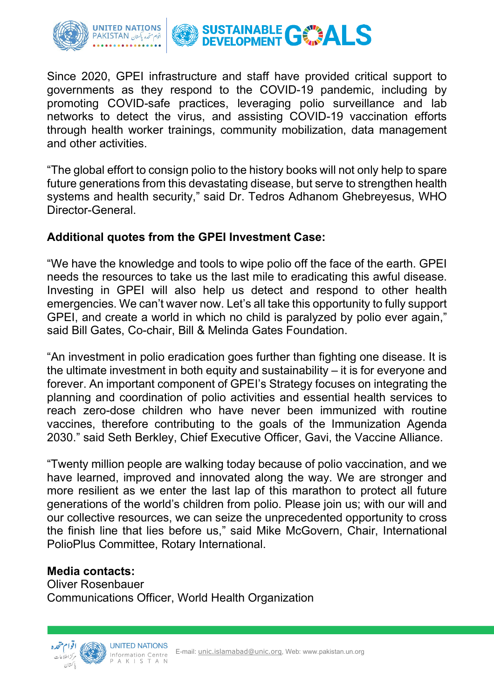

Since 2020, GPEI infrastructure and staff have provided critical support to governments as they respond to the COVID-19 pandemic, including by promoting COVID-safe practices, leveraging polio surveillance and lab networks to detect the virus, and assisting COVID-19 vaccination efforts through health worker trainings, community mobilization, data management and other activities.

"The global effort to consign polio to the history books will not only help to spare future generations from this devastating disease, but serve to strengthen health systems and health security," said Dr. Tedros Adhanom Ghebreyesus, WHO Director-General.

### **Additional quotes from the GPEI Investment Case:**

"We have the knowledge and tools to wipe polio off the face of the earth. GPEI needs the resources to take us the last mile to eradicating this awful disease. Investing in GPEI will also help us detect and respond to other health emergencies. We can't waver now. Let's all take this opportunity to fully support GPEI, and create a world in which no child is paralyzed by polio ever again," said Bill Gates, Co-chair, Bill & Melinda Gates Foundation.

"An investment in polio eradication goes further than fighting one disease. It is the ultimate investment in both equity and sustainability – it is for everyone and forever. An important component of GPEI's Strategy focuses on integrating the planning and coordination of polio activities and essential health services to reach zero-dose children who have never been immunized with routine vaccines, therefore contributing to the goals of the Immunization Agenda 2030." said Seth Berkley, Chief Executive Officer, Gavi, the Vaccine Alliance.

"Twenty million people are walking today because of polio vaccination, and we have learned, improved and innovated along the way. We are stronger and more resilient as we enter the last lap of this marathon to protect all future generations of the world's children from polio. Please join us; with our will and our collective resources, we can seize the unprecedented opportunity to cross the finish line that lies before us," said Mike McGovern, Chair, International PolioPlus Committee, Rotary International.

### **Media contacts:**

Oliver Rosenbauer Communications Officer, World Health Organization